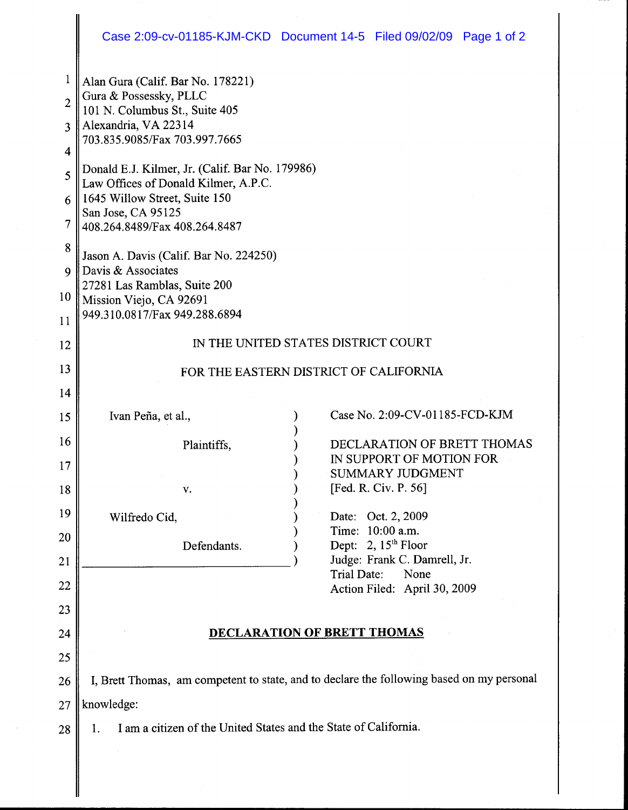|                                                                              | Case 2:09-cv-01185-KJM-CKD Document 14-5 Filed 09/02/09 Page 1 of 2                                                                                                                                                                                                                                                                                                                                                                                                                                   |  |                                                                                                                                   |                                      |  |
|------------------------------------------------------------------------------|-------------------------------------------------------------------------------------------------------------------------------------------------------------------------------------------------------------------------------------------------------------------------------------------------------------------------------------------------------------------------------------------------------------------------------------------------------------------------------------------------------|--|-----------------------------------------------------------------------------------------------------------------------------------|--------------------------------------|--|
| 1<br>$\overline{2}$<br>3<br>4<br>5<br>6<br>7<br>8<br>$\mathbf Q$<br>10<br>11 | Alan Gura (Calif. Bar No. 178221)<br>Gura & Possessky, PLLC<br>101 N. Columbus St., Suite 405<br>Alexandria, VA 22314<br>703.835.9085/Fax 703.997.7665<br>Donald E.J. Kilmer, Jr. (Calif. Bar No. 179986)<br>Law Offices of Donald Kilmer, A.P.C.<br>1645 Willow Street, Suite 150<br>San Jose, CA 95125<br>408.264.8489/Fax 408.264.8487<br>Jason A. Davis (Calif. Bar No. 224250)<br>Davis & Associates<br>27281 Las Ramblas, Suite 200<br>Mission Viejo, CA 92691<br>949.310.0817/Fax 949.288.6894 |  |                                                                                                                                   |                                      |  |
| 12                                                                           | IN THE UNITED STATES DISTRICT COURT                                                                                                                                                                                                                                                                                                                                                                                                                                                                   |  |                                                                                                                                   |                                      |  |
| 13                                                                           | FOR THE EASTERN DISTRICT OF CALIFORNIA                                                                                                                                                                                                                                                                                                                                                                                                                                                                |  |                                                                                                                                   |                                      |  |
| 14                                                                           |                                                                                                                                                                                                                                                                                                                                                                                                                                                                                                       |  |                                                                                                                                   |                                      |  |
| 15                                                                           | Ivan Peña, et al.,                                                                                                                                                                                                                                                                                                                                                                                                                                                                                    |  |                                                                                                                                   | Case No. 2:09-CV-01185-FCD-KJM       |  |
| 16                                                                           | Plaintiffs.                                                                                                                                                                                                                                                                                                                                                                                                                                                                                           |  |                                                                                                                                   | DECLARATION OF BRETT THOMAS          |  |
| 17                                                                           |                                                                                                                                                                                                                                                                                                                                                                                                                                                                                                       |  | IN SUPPORT OF MOTION FOR<br><b>SUMMARY JUDGMENT</b>                                                                               |                                      |  |
| 18                                                                           | v.                                                                                                                                                                                                                                                                                                                                                                                                                                                                                                    |  | [Fed. R. Civ. P. 56]<br>Date: Oct. 2, 2009<br>Time: 10:00 a.m.<br>Dept: 2, 15 <sup>th</sup> Floor<br>Judge: Frank C. Damrell, Jr. |                                      |  |
| 19                                                                           | Wilfredo Cid,                                                                                                                                                                                                                                                                                                                                                                                                                                                                                         |  |                                                                                                                                   |                                      |  |
| 20                                                                           | Defendants.                                                                                                                                                                                                                                                                                                                                                                                                                                                                                           |  |                                                                                                                                   |                                      |  |
| 21                                                                           |                                                                                                                                                                                                                                                                                                                                                                                                                                                                                                       |  |                                                                                                                                   |                                      |  |
| 22                                                                           |                                                                                                                                                                                                                                                                                                                                                                                                                                                                                                       |  | Trial Date:                                                                                                                       | None<br>Action Filed: April 30, 2009 |  |
| 23                                                                           |                                                                                                                                                                                                                                                                                                                                                                                                                                                                                                       |  |                                                                                                                                   |                                      |  |
| 24                                                                           | <b>DECLARATION OF BRETT THOMAS</b>                                                                                                                                                                                                                                                                                                                                                                                                                                                                    |  |                                                                                                                                   |                                      |  |
| 25                                                                           |                                                                                                                                                                                                                                                                                                                                                                                                                                                                                                       |  |                                                                                                                                   |                                      |  |
| 26                                                                           | I, Brett Thomas, am competent to state, and to declare the following based on my personal                                                                                                                                                                                                                                                                                                                                                                                                             |  |                                                                                                                                   |                                      |  |
| 27                                                                           | knowledge:                                                                                                                                                                                                                                                                                                                                                                                                                                                                                            |  |                                                                                                                                   |                                      |  |
| 28                                                                           | I am a citizen of the United States and the State of California.<br>1.                                                                                                                                                                                                                                                                                                                                                                                                                                |  |                                                                                                                                   |                                      |  |
|                                                                              |                                                                                                                                                                                                                                                                                                                                                                                                                                                                                                       |  |                                                                                                                                   |                                      |  |

∥

------------,